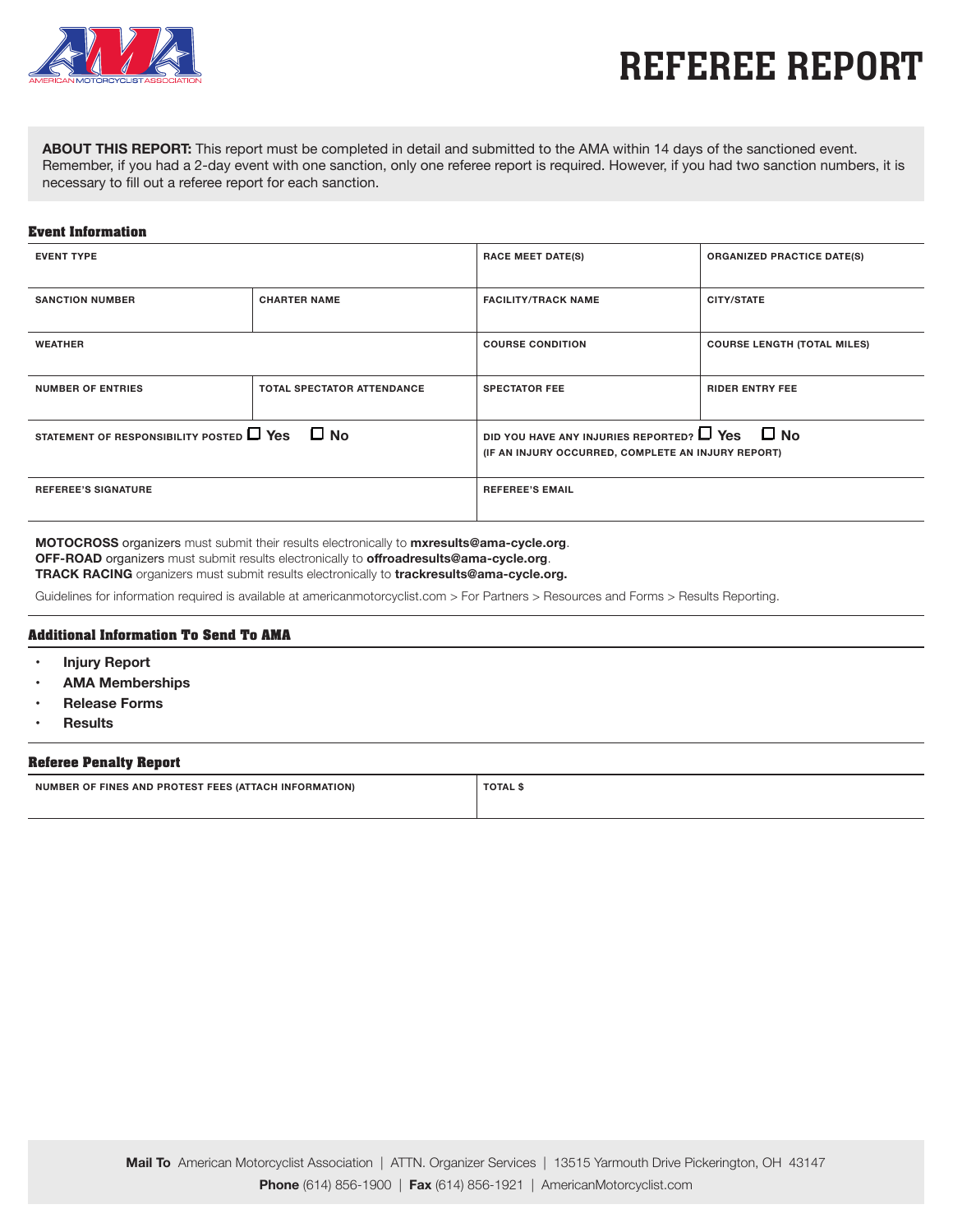

# REFEREE REPORT

**ABOUT THIS REPORT:** This report must be completed in detail and submitted to the AMA within 14 days of the sanctioned event. Remember, if you had a 2-day event with one sanction, only one referee report is required. However, if you had two sanction numbers, it is necessary to fill out a referee report for each sanction.

## **Event Information**

| <b>EVENT TYPE</b>                                       |                                   | <b>RACE MEET DATE(S)</b>                                                                                             | <b>ORGANIZED PRACTICE DATE(S)</b>  |
|---------------------------------------------------------|-----------------------------------|----------------------------------------------------------------------------------------------------------------------|------------------------------------|
| <b>SANCTION NUMBER</b>                                  | <b>CHARTER NAME</b>               | <b>FACILITY/TRACK NAME</b>                                                                                           | <b>CITY/STATE</b>                  |
| <b>WEATHER</b>                                          |                                   | <b>COURSE CONDITION</b>                                                                                              | <b>COURSE LENGTH (TOTAL MILES)</b> |
| <b>NUMBER OF ENTRIES</b>                                | <b>TOTAL SPECTATOR ATTENDANCE</b> | <b>SPECTATOR FEE</b>                                                                                                 | <b>RIDER ENTRY FEE</b>             |
| STATEMENT OF RESPONSIBILITY POSTED $\Box$ Yes $\Box$ No |                                   | DID YOU HAVE ANY INJURIES REPORTED? $\square$ Yes $\square$ No<br>(IF AN INJURY OCCURRED, COMPLETE AN INJURY REPORT) |                                    |
| <b>REFEREE'S SIGNATURE</b>                              |                                   | <b>REFEREE'S EMAIL</b>                                                                                               |                                    |

**MOTOCROSS** organizers must submit their results electronically to **mxresults@ama-cycle.org**. **OFF-ROAD** organizers must submit results electronically to **offroadresults@ama-cycle.org**. **TRACK RACING** organizers must submit results electronically to **trackresults@ama-cycle.org.**

Guidelines for information required is available at americanmotorcyclist.com > For Partners > Resources and Forms > Results Reporting.

#### **Additional Information To Send To AMA**

- **Injury Report**
- **• AMA Memberships**
- **• Release Forms**
- **• Results**

## **Referee Penalty Report**

| <b>FINES</b><br>. ANP<br><b>NIIM</b><br><b>PROTES</b><br>ΩF<br>∶ORMATION<br><b>IACF</b><br>$\mathbf{A}$<br>∣INF | TOTAL<br>the contract of the contract of the contract of |
|-----------------------------------------------------------------------------------------------------------------|----------------------------------------------------------|
|                                                                                                                 |                                                          |